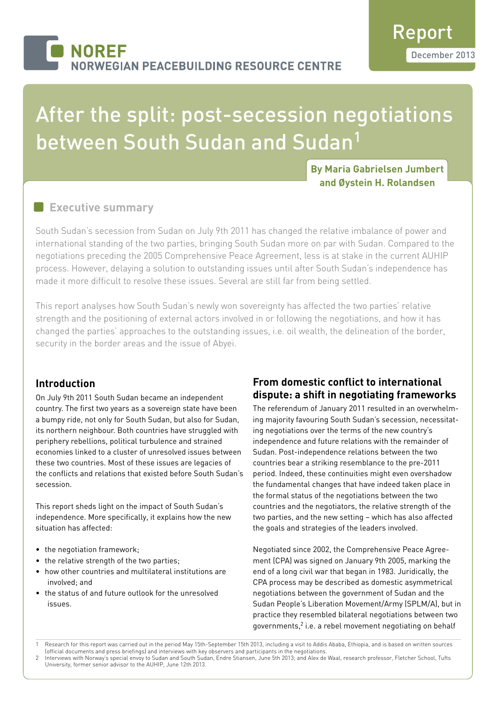# After the split: post-secession negotiations between South Sudan and Sudan<sup>1</sup>

 **By Maria Gabrielsen Jumbert and Øystein H. Rolandsen**

# **Executive summary**

South Sudan's secession from Sudan on July 9th 2011 has changed the relative imbalance of power and international standing of the two parties, bringing South Sudan more on par with Sudan. Compared to the negotiations preceding the 2005 Comprehensive Peace Agreement, less is at stake in the current AUHIP process. However, delaying a solution to outstanding issues until after South Sudan's independence has made it more difficult to resolve these issues. Several are still far from being settled.

This report analyses how South Sudan's newly won sovereignty has affected the two parties' relative strength and the positioning of external actors involved in or following the negotiations, and how it has changed the parties' approaches to the outstanding issues, i.e. oil wealth, the delineation of the border, security in the border areas and the issue of Abyei.

### **Introduction**

On July 9th 2011 South Sudan became an independent country. The first two years as a sovereign state have been a bumpy ride, not only for South Sudan, but also for Sudan, its northern neighbour. Both countries have struggled with periphery rebellions, political turbulence and strained economies linked to a cluster of unresolved issues between these two countries. Most of these issues are legacies of the conflicts and relations that existed before South Sudan's secession.

This report sheds light on the impact of South Sudan's independence. More specifically, it explains how the new situation has affected:

- the negotiation framework;
- the relative strength of the two parties;
- how other countries and multilateral institutions are involved; and
- the status of and future outlook for the unresolved issues.

# **From domestic conflict to international dispute: a shift in negotiating frameworks**

The referendum of January 2011 resulted in an overwhelming majority favouring South Sudan's secession, necessitating negotiations over the terms of the new country's independence and future relations with the remainder of Sudan. Post-independence relations between the two countries bear a striking resemblance to the pre-2011 period. Indeed, these continuities might even overshadow the fundamental changes that have indeed taken place in the formal status of the negotiations between the two countries and the negotiators, the relative strength of the two parties, and the new setting – which has also affected the goals and strategies of the leaders involved.

Negotiated since 2002, the Comprehensive Peace Agreement (CPA) was signed on January 9th 2005, marking the end of a long civil war that began in 1983. Juridically, the CPA process may be described as domestic asymmetrical negotiations between the government of Sudan and the Sudan People's Liberation Movement/Army (SPLM/A), but in practice they resembled bilateral negotiations between two governments,<sup>2</sup> i.e. a rebel movement negotiating on behalf

<sup>1</sup> Research for this report was carried out in the period May 15th-September 15th 2013, including a visit to Addis Ababa, Ethiopia, and is based on written sources (official documents and press briefings) and interviews with key observers and participants in the negotiations.

<sup>2</sup> Interviews with Norway's special envoy to Sudan and South Sudan, Endre Stiansen, June 5th 2013; and Alex de Waal, research professor, Fletcher School, Tufts University, former senior advisor to the AUHIP, June 12th 2013.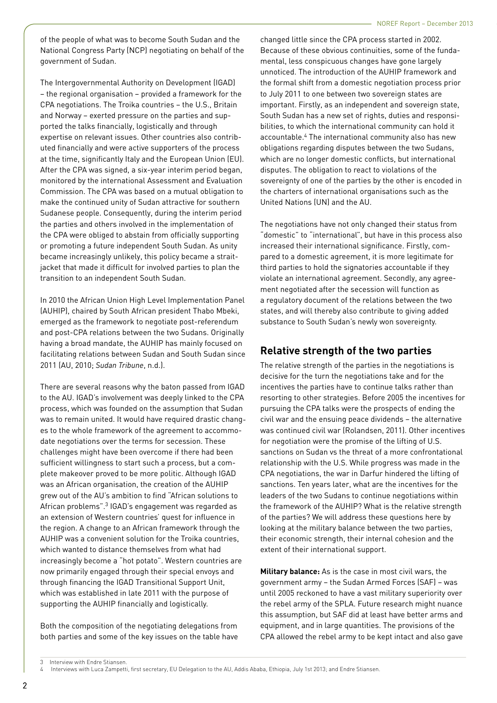of the people of what was to become South Sudan and the National Congress Party (NCP) negotiating on behalf of the government of Sudan.

The Intergovernmental Authority on Development (IGAD) – the regional organisation – provided a framework for the CPA negotiations. The Troika countries – the U.S., Britain and Norway – exerted pressure on the parties and supported the talks financially, logistically and through expertise on relevant issues. Other countries also contributed financially and were active supporters of the process at the time, significantly Italy and the European Union (EU). After the CPA was signed, a six-year interim period began, monitored by the international Assessment and Evaluation Commission. The CPA was based on a mutual obligation to make the continued unity of Sudan attractive for southern Sudanese people. Consequently, during the interim period the parties and others involved in the implementation of the CPA were obliged to abstain from officially supporting or promoting a future independent South Sudan. As unity became increasingly unlikely, this policy became a straitjacket that made it difficult for involved parties to plan the transition to an independent South Sudan.

In 2010 the African Union High Level Implementation Panel (AUHIP), chaired by South African president Thabo Mbeki, emerged as the framework to negotiate post-referendum and post-CPA relations between the two Sudans. Originally having a broad mandate, the AUHIP has mainly focused on facilitating relations between Sudan and South Sudan since 2011 (AU, 2010; *Sudan Tribune*, n.d.).

There are several reasons why the baton passed from IGAD to the AU. IGAD's involvement was deeply linked to the CPA process, which was founded on the assumption that Sudan was to remain united. It would have required drastic changes to the whole framework of the agreement to accommodate negotiations over the terms for secession. These challenges might have been overcome if there had been sufficient willingness to start such a process, but a complete makeover proved to be more politic. Although IGAD was an African organisation, the creation of the AUHIP grew out of the AU's ambition to find "African solutions to African problems".3 IGAD's engagement was regarded as an extension of Western countries' quest for influence in the region. A change to an African framework through the AUHIP was a convenient solution for the Troika countries, which wanted to distance themselves from what had increasingly become a "hot potato". Western countries are now primarily engaged through their special envoys and through financing the IGAD Transitional Support Unit, which was established in late 2011 with the purpose of supporting the AUHIP financially and logistically.

Both the composition of the negotiating delegations from both parties and some of the key issues on the table have changed little since the CPA process started in 2002. Because of these obvious continuities, some of the fundamental, less conspicuous changes have gone largely unnoticed. The introduction of the AUHIP framework and the formal shift from a domestic negotiation process prior to July 2011 to one between two sovereign states are important. Firstly, as an independent and sovereign state, South Sudan has a new set of rights, duties and responsibilities, to which the international community can hold it accountable.4 The international community also has new obligations regarding disputes between the two Sudans, which are no longer domestic conflicts, but international disputes. The obligation to react to violations of the sovereignty of one of the parties by the other is encoded in the charters of international organisations such as the United Nations (UN) and the AU.

The negotiations have not only changed their status from "domestic" to "international", but have in this process also increased their international significance. Firstly, compared to a domestic agreement, it is more legitimate for third parties to hold the signatories accountable if they violate an international agreement. Secondly, any agreement negotiated after the secession will function as a regulatory document of the relations between the two states, and will thereby also contribute to giving added substance to South Sudan's newly won sovereignty.

## **Relative strength of the two parties**

The relative strength of the parties in the negotiations is decisive for the turn the negotiations take and for the incentives the parties have to continue talks rather than resorting to other strategies. Before 2005 the incentives for pursuing the CPA talks were the prospects of ending the civil war and the ensuing peace dividends – the alternative was continued civil war (Rolandsen, 2011). Other incentives for negotiation were the promise of the lifting of U.S. sanctions on Sudan vs the threat of a more confrontational relationship with the U.S. While progress was made in the CPA negotiations, the war in Darfur hindered the lifting of sanctions. Ten years later, what are the incentives for the leaders of the two Sudans to continue negotiations within the framework of the AUHIP? What is the relative strength of the parties? We will address these questions here by looking at the military balance between the two parties, their economic strength, their internal cohesion and the extent of their international support.

**Military balance:** As is the case in most civil wars, the government army – the Sudan Armed Forces (SAF) – was until 2005 reckoned to have a vast military superiority over the rebel army of the SPLA. Future research might nuance this assumption, but SAF did at least have better arms and equipment, and in large quantities. The provisions of the CPA allowed the rebel army to be kept intact and also gave

Interview with Endre Stiansen.

Interviews with Luca Zampetti, first secretary, EU Delegation to the AU, Addis Ababa, Ethiopia, July 1st 2013; and Endre Stiansen.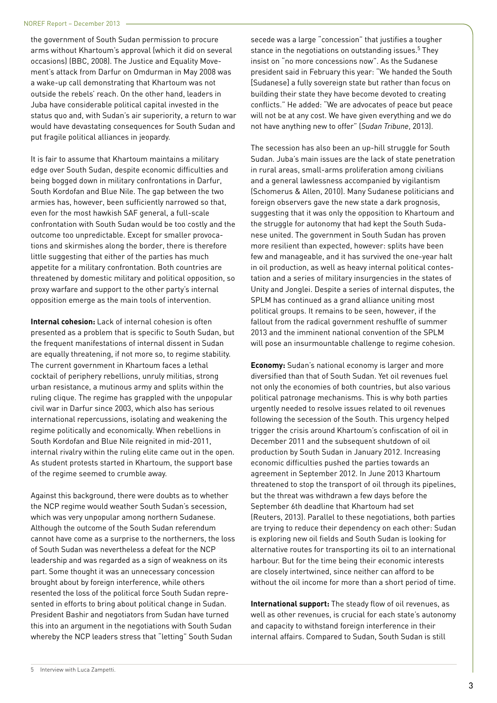the government of South Sudan permission to procure arms without Khartoum's approval (which it did on several occasions) (BBC, 2008). The Justice and Equality Movement's attack from Darfur on Omdurman in May 2008 was a wake-up call demonstrating that Khartoum was not outside the rebels' reach. On the other hand, leaders in Juba have considerable political capital invested in the status quo and, with Sudan's air superiority, a return to war would have devastating consequences for South Sudan and put fragile political alliances in jeopardy.

It is fair to assume that Khartoum maintains a military edge over South Sudan, despite economic difficulties and being bogged down in military confrontations in Darfur, South Kordofan and Blue Nile. The gap between the two armies has, however, been sufficiently narrowed so that, even for the most hawkish SAF general, a full-scale confrontation with South Sudan would be too costly and the outcome too unpredictable. Except for smaller provocations and skirmishes along the border, there is therefore little suggesting that either of the parties has much appetite for a military confrontation. Both countries are threatened by domestic military and political opposition, so proxy warfare and support to the other party's internal opposition emerge as the main tools of intervention.

**Internal cohesion:** Lack of internal cohesion is often presented as a problem that is specific to South Sudan, but the frequent manifestations of internal dissent in Sudan are equally threatening, if not more so, to regime stability. The current government in Khartoum faces a lethal cocktail of periphery rebellions, unruly militias, strong urban resistance, a mutinous army and splits within the ruling clique. The regime has grappled with the unpopular civil war in Darfur since 2003, which also has serious international repercussions, isolating and weakening the regime politically and economically. When rebellions in South Kordofan and Blue Nile reignited in mid-2011, internal rivalry within the ruling elite came out in the open. As student protests started in Khartoum, the support base of the regime seemed to crumble away.

Against this background, there were doubts as to whether the NCP regime would weather South Sudan's secession, which was very unpopular among northern Sudanese. Although the outcome of the South Sudan referendum cannot have come as a surprise to the northerners, the loss of South Sudan was nevertheless a defeat for the NCP leadership and was regarded as a sign of weakness on its part. Some thought it was an unnecessary concession brought about by foreign interference, while others resented the loss of the political force South Sudan represented in efforts to bring about political change in Sudan. President Bashir and negotiators from Sudan have turned this into an argument in the negotiations with South Sudan whereby the NCP leaders stress that "letting" South Sudan

secede was a large "concession" that justifies a tougher stance in the negotiations on outstanding issues.<sup>5</sup> They insist on "no more concessions now". As the Sudanese president said in February this year: "We handed the South [Sudanese] a fully sovereign state but rather than focus on building their state they have become devoted to creating conflicts." He added: "We are advocates of peace but peace will not be at any cost. We have given everything and we do not have anything new to offer" (*Sudan Tribune*, 2013).

The secession has also been an up-hill struggle for South Sudan. Juba's main issues are the lack of state penetration in rural areas, small-arms proliferation among civilians and a general lawlessness accompanied by vigilantism (Schomerus & Allen, 2010). Many Sudanese politicians and foreign observers gave the new state a dark prognosis, suggesting that it was only the opposition to Khartoum and the struggle for autonomy that had kept the South Sudanese united. The government in South Sudan has proven more resilient than expected, however: splits have been few and manageable, and it has survived the one-year halt in oil production, as well as heavy internal political contestation and a series of military insurgencies in the states of Unity and Jonglei. Despite a series of internal disputes, the SPLM has continued as a grand alliance uniting most political groups. It remains to be seen, however, if the fallout from the radical government reshuffle of summer 2013 and the imminent national convention of the SPLM will pose an insurmountable challenge to regime cohesion.

**Economy:** Sudan's national economy is larger and more diversified than that of South Sudan. Yet oil revenues fuel not only the economies of both countries, but also various political patronage mechanisms. This is why both parties urgently needed to resolve issues related to oil revenues following the secession of the South. This urgency helped trigger the crisis around Khartoum's confiscation of oil in December 2011 and the subsequent shutdown of oil production by South Sudan in January 2012. Increasing economic difficulties pushed the parties towards an agreement in September 2012. In June 2013 Khartoum threatened to stop the transport of oil through its pipelines, but the threat was withdrawn a few days before the September 6th deadline that Khartoum had set (Reuters, 2013). Parallel to these negotiations, both parties are trying to reduce their dependency on each other: Sudan is exploring new oil fields and South Sudan is looking for alternative routes for transporting its oil to an international harbour. But for the time being their economic interests are closely intertwined, since neither can afford to be without the oil income for more than a short period of time.

**International support:** The steady flow of oil revenues, as well as other revenues, is crucial for each state's autonomy and capacity to withstand foreign interference in their internal affairs. Compared to Sudan, South Sudan is still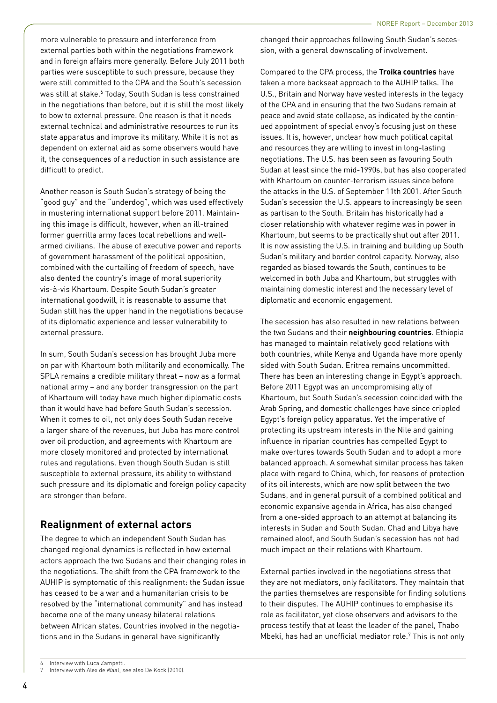more vulnerable to pressure and interference from external parties both within the negotiations framework and in foreign affairs more generally. Before July 2011 both parties were susceptible to such pressure, because they were still committed to the CPA and the South's secession was still at stake.<sup>6</sup> Today, South Sudan is less constrained in the negotiations than before, but it is still the most likely to bow to external pressure. One reason is that it needs external technical and administrative resources to run its state apparatus and improve its military. While it is not as dependent on external aid as some observers would have it, the consequences of a reduction in such assistance are difficult to predict.

Another reason is South Sudan's strategy of being the "good guy" and the "underdog", which was used effectively in mustering international support before 2011. Maintaining this image is difficult, however, when an ill-trained former guerrilla army faces local rebellions and wellarmed civilians. The abuse of executive power and reports of government harassment of the political opposition, combined with the curtailing of freedom of speech, have also dented the country's image of moral superiority vis-à-vis Khartoum. Despite South Sudan's greater international goodwill, it is reasonable to assume that Sudan still has the upper hand in the negotiations because of its diplomatic experience and lesser vulnerability to external pressure.

In sum, South Sudan's secession has brought Juba more on par with Khartoum both militarily and economically. The SPLA remains a credible military threat – now as a formal national army – and any border transgression on the part of Khartoum will today have much higher diplomatic costs than it would have had before South Sudan's secession. When it comes to oil, not only does South Sudan receive a larger share of the revenues, but Juba has more control over oil production, and agreements with Khartoum are more closely monitored and protected by international rules and regulations. Even though South Sudan is still susceptible to external pressure, its ability to withstand such pressure and its diplomatic and foreign policy capacity are stronger than before.

### **Realignment of external actors**

The degree to which an independent South Sudan has changed regional dynamics is reflected in how external actors approach the two Sudans and their changing roles in the negotiations. The shift from the CPA framework to the AUHIP is symptomatic of this realignment: the Sudan issue has ceased to be a war and a humanitarian crisis to be resolved by the "international community" and has instead become one of the many uneasy bilateral relations between African states. Countries involved in the negotiations and in the Sudans in general have significantly

changed their approaches following South Sudan's secession, with a general downscaling of involvement.

Compared to the CPA process, the **Troika countries** have taken a more backseat approach to the AUHIP talks. The U.S., Britain and Norway have vested interests in the legacy of the CPA and in ensuring that the two Sudans remain at peace and avoid state collapse, as indicated by the continued appointment of special envoy's focusing just on these issues. It is, however, unclear how much political capital and resources they are willing to invest in long-lasting negotiations. The U.S. has been seen as favouring South Sudan at least since the mid-1990s, but has also cooperated with Khartoum on counter-terrorism issues since before the attacks in the U.S. of September 11th 2001. After South Sudan's secession the U.S. appears to increasingly be seen as partisan to the South. Britain has historically had a closer relationship with whatever regime was in power in Khartoum, but seems to be practically shut out after 2011. It is now assisting the U.S. in training and building up South Sudan's military and border control capacity. Norway, also regarded as biased towards the South, continues to be welcomed in both Juba and Khartoum, but struggles with maintaining domestic interest and the necessary level of diplomatic and economic engagement.

The secession has also resulted in new relations between the two Sudans and their **neighbouring countries**. Ethiopia has managed to maintain relatively good relations with both countries, while Kenya and Uganda have more openly sided with South Sudan. Eritrea remains uncommitted. There has been an interesting change in Egypt's approach. Before 2011 Egypt was an uncompromising ally of Khartoum, but South Sudan's secession coincided with the Arab Spring, and domestic challenges have since crippled Egypt's foreign policy apparatus. Yet the imperative of protecting its upstream interests in the Nile and gaining influence in riparian countries has compelled Egypt to make overtures towards South Sudan and to adopt a more balanced approach. A somewhat similar process has taken place with regard to China, which, for reasons of protection of its oil interests, which are now split between the two Sudans, and in general pursuit of a combined political and economic expansive agenda in Africa, has also changed from a one-sided approach to an attempt at balancing its interests in Sudan and South Sudan. Chad and Libya have remained aloof, and South Sudan's secession has not had much impact on their relations with Khartoum.

External parties involved in the negotiations stress that they are not mediators, only facilitators. They maintain that the parties themselves are responsible for finding solutions to their disputes. The AUHIP continues to emphasise its role as facilitator, yet close observers and advisors to the process testify that at least the leader of the panel, Thabo Mbeki, has had an unofficial mediator role.7 This is not only

Interview with Luca Zampetti.

Interview with Alex de Waal; see also De Kock (2010).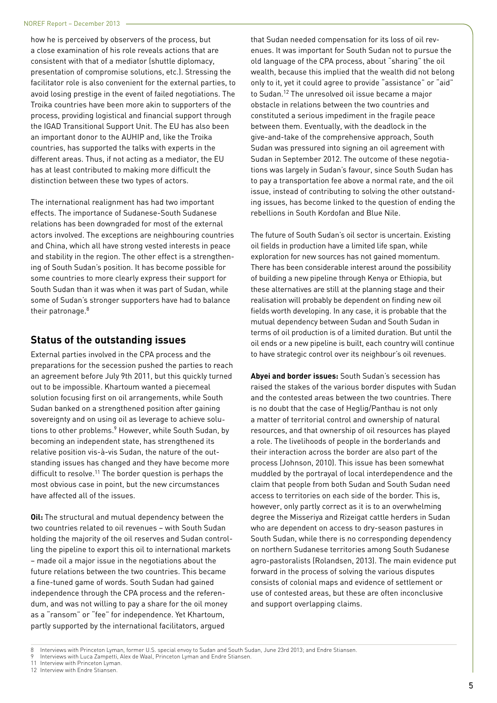how he is perceived by observers of the process, but a close examination of his role reveals actions that are consistent with that of a mediator (shuttle diplomacy, presentation of compromise solutions, etc.). Stressing the facilitator role is also convenient for the external parties, to avoid losing prestige in the event of failed negotiations. The Troika countries have been more akin to supporters of the process, providing logistical and financial support through the IGAD Transitional Support Unit. The EU has also been an important donor to the AUHIP and, like the Troika countries, has supported the talks with experts in the different areas. Thus, if not acting as a mediator, the EU has at least contributed to making more difficult the distinction between these two types of actors.

The international realignment has had two important effects. The importance of Sudanese-South Sudanese relations has been downgraded for most of the external actors involved. The exceptions are neighbouring countries and China, which all have strong vested interests in peace and stability in the region. The other effect is a strengthening of South Sudan's position. It has become possible for some countries to more clearly express their support for South Sudan than it was when it was part of Sudan, while some of Sudan's stronger supporters have had to balance their patronage.8

#### **Status of the outstanding issues**

External parties involved in the CPA process and the preparations for the secession pushed the parties to reach an agreement before July 9th 2011, but this quickly turned out to be impossible. Khartoum wanted a piecemeal solution focusing first on oil arrangements, while South Sudan banked on a strengthened position after gaining sovereignty and on using oil as leverage to achieve solutions to other problems.<sup>9</sup> However, while South Sudan, by becoming an independent state, has strengthened its relative position vis-à-vis Sudan, the nature of the outstanding issues has changed and they have become more difficult to resolve.11 The border question is perhaps the most obvious case in point, but the new circumstances have affected all of the issues.

**Oil:** The structural and mutual dependency between the two countries related to oil revenues – with South Sudan holding the majority of the oil reserves and Sudan controlling the pipeline to export this oil to international markets – made oil a major issue in the negotiations about the future relations between the two countries. This became a fine-tuned game of words. South Sudan had gained independence through the CPA process and the referendum, and was not willing to pay a share for the oil money as a "ransom" or "fee" for independence. Yet Khartoum, partly supported by the international facilitators, argued

that Sudan needed compensation for its loss of oil revenues. It was important for South Sudan not to pursue the old language of the CPA process, about "sharing" the oil wealth, because this implied that the wealth did not belong only to it, yet it could agree to provide "assistance" or "aid" to Sudan.12 The unresolved oil issue became a major obstacle in relations between the two countries and constituted a serious impediment in the fragile peace between them. Eventually, with the deadlock in the give-and-take of the comprehensive approach, South Sudan was pressured into signing an oil agreement with Sudan in September 2012. The outcome of these negotiations was largely in Sudan's favour, since South Sudan has to pay a transportation fee above a normal rate, and the oil issue, instead of contributing to solving the other outstanding issues, has become linked to the question of ending the rebellions in South Kordofan and Blue Nile.

The future of South Sudan's oil sector is uncertain. Existing oil fields in production have a limited life span, while exploration for new sources has not gained momentum. There has been considerable interest around the possibility of building a new pipeline through Kenya or Ethiopia, but these alternatives are still at the planning stage and their realisation will probably be dependent on finding new oil fields worth developing. In any case, it is probable that the mutual dependency between Sudan and South Sudan in terms of oil production is of a limited duration. But until the oil ends or a new pipeline is built, each country will continue to have strategic control over its neighbour's oil revenues.

**Abyei and border issues:** South Sudan's secession has raised the stakes of the various border disputes with Sudan and the contested areas between the two countries. There is no doubt that the case of Heglig/Panthau is not only a matter of territorial control and ownership of natural resources, and that ownership of oil resources has played a role. The livelihoods of people in the borderlands and their interaction across the border are also part of the process (Johnson, 2010). This issue has been somewhat muddled by the portrayal of local interdependence and the claim that people from both Sudan and South Sudan need access to territories on each side of the border. This is, however, only partly correct as it is to an overwhelming degree the Misseriya and Rizeigat cattle herders in Sudan who are dependent on access to dry-season pastures in South Sudan, while there is no corresponding dependency on northern Sudanese territories among South Sudanese agro-pastoralists (Rolandsen, 2013). The main evidence put forward in the process of solving the various disputes consists of colonial maps and evidence of settlement or use of contested areas, but these are often inconclusive and support overlapping claims.

- Interviews with Luca Zampetti, Alex de Waal, Princeton Lyman and Endre Stiansen.
- 11 Interview with Princeton Lyman.
- 12 Interview with Endre Stiansen.

<sup>8</sup> Interviews with Princeton Lyman, former U.S. special envoy to Sudan and South Sudan, June 23rd 2013; and Endre Stiansen.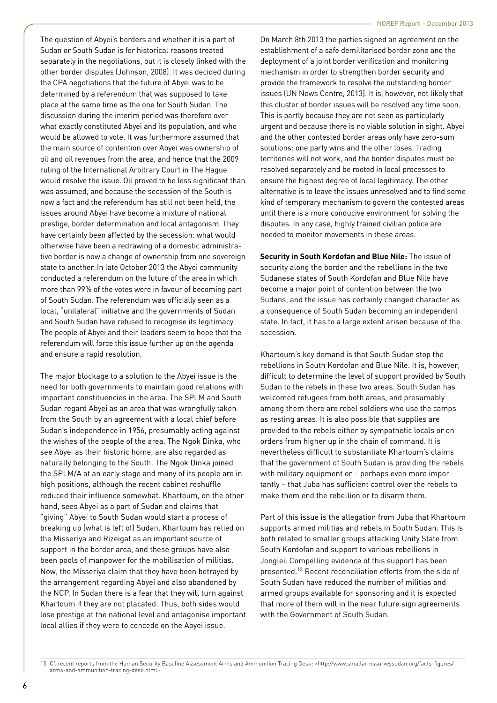The question of Abyei's borders and whether it is a part of Sudan or South Sudan is for historical reasons treated separately in the negotiations, but it is closely linked with the other border disputes (Johnson, 2008). It was decided during the CPA negotiations that the future of Abyei was to be determined by a referendum that was supposed to take place at the same time as the one for South Sudan. The discussion during the interim period was therefore over what exactly constituted Abyei and its population, and who would be allowed to vote. It was furthermore assumed that the main source of contention over Abyei was ownership of oil and oil revenues from the area, and hence that the 2009 ruling of the International Arbitrary Court in The Hague would resolve the issue. Oil proved to be less significant than was assumed, and because the secession of the South is now a fact and the referendum has still not been held, the issues around Abyei have become a mixture of national prestige, border determination and local antagonism. They have certainly been affected by the secession: what would otherwise have been a redrawing of a domestic administrative border is now a change of ownership from one sovereign state to another. In late October 2013 the Abyei community conducted a referendum on the future of the area in which more than 99% of the votes were in favour of becoming part of South Sudan. The referendum was officially seen as a local, "unilateral" initiative and the governments of Sudan and South Sudan have refused to recognise its legitimacy. The people of Abyei and their leaders seem to hope that the referendum will force this issue further up on the agenda and ensure a rapid resolution.

The major blockage to a solution to the Abyei issue is the need for both governments to maintain good relations with important constituencies in the area. The SPLM and South Sudan regard Abyei as an area that was wrongfully taken from the South by an agreement with a local chief before Sudan's independence in 1956, presumably acting against the wishes of the people of the area. The Ngok Dinka, who see Abyei as their historic home, are also regarded as naturally belonging to the South. The Ngok Dinka joined the SPLM/A at an early stage and many of its people are in high positions, although the recent cabinet reshuffle reduced their influence somewhat. Khartoum, on the other hand, sees Abyei as a part of Sudan and claims that "giving" Abyei to South Sudan would start a process of breaking up (what is left of) Sudan. Khartoum has relied on the Misseriya and Rizeigat as an important source of support in the border area, and these groups have also been pools of manpower for the mobilisation of militias. Now, the Misseriya claim that they have been betrayed by the arrangement regarding Abyei and also abandoned by the NCP. In Sudan there is a fear that they will turn against Khartoum if they are not placated. Thus, both sides would lose prestige at the national level and antagonise important local allies if they were to concede on the Abyei issue.

On March 8th 2013 the parties signed an agreement on the establishment of a safe demilitarised border zone and the deployment of a joint border verification and monitoring mechanism in order to strengthen border security and provide the framework to resolve the outstanding border issues (UN News Centre, 2013). It is, however, not likely that this cluster of border issues will be resolved any time soon. This is partly because they are not seen as particularly urgent and because there is no viable solution in sight. Abyei and the other contested border areas only have zero-sum solutions: one party wins and the other loses. Trading territories will not work, and the border disputes must be resolved separately and be rooted in local processes to ensure the highest degree of local legitimacy. The other alternative is to leave the issues unresolved and to find some kind of temporary mechanism to govern the contested areas until there is a more conducive environment for solving the disputes. In any case, highly trained civilian police are needed to monitor movements in these areas.

**Security in South Kordofan and Blue Nile:** The issue of security along the border and the rebellions in the two Sudanese states of South Kordofan and Blue Nile have become a major point of contention between the two Sudans, and the issue has certainly changed character as a consequence of South Sudan becoming an independent state. In fact, it has to a large extent arisen because of the secession.

Khartoum's key demand is that South Sudan stop the rebellions in South Kordofan and Blue Nile. It is, however, difficult to determine the level of support provided by South Sudan to the rebels in these two areas. South Sudan has welcomed refugees from both areas, and presumably among them there are rebel soldiers who use the camps as resting areas. It is also possible that supplies are provided to the rebels either by sympathetic locals or on orders from higher up in the chain of command. It is nevertheless difficult to substantiate Khartoum's claims that the government of South Sudan is providing the rebels with military equipment or – perhaps even more importantly – that Juba has sufficient control over the rebels to make them end the rebellion or to disarm them.

Part of this issue is the allegation from Juba that Khartoum supports armed militias and rebels in South Sudan. This is both related to smaller groups attacking Unity State from South Kordofan and support to various rebellions in Jonglei. Compelling evidence of this support has been presented.13 Recent reconciliation efforts from the side of South Sudan have reduced the number of militias and armed groups available for sponsoring and it is expected that more of them will in the near future sign agreements with the Government of South Sudan.

<sup>13</sup> Cf. recent reports from the Human Security Baseline Assessment Arms and Ammunition Tracing Desk: <http://www.smallarmssurveysudan.org/facts-figures/ arms-and-ammunition-tracing-desk.html>.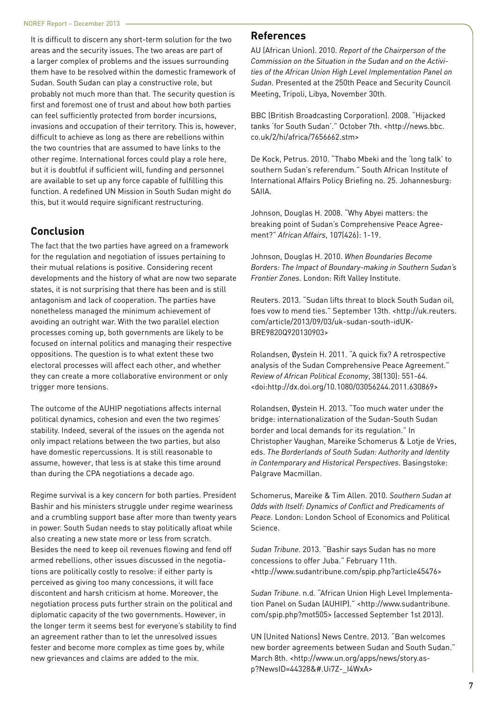It is difficult to discern any short-term solution for the two areas and the security issues. The two areas are part of a larger complex of problems and the issues surrounding them have to be resolved within the domestic framework of Sudan. South Sudan can play a constructive role, but probably not much more than that. The security question is first and foremost one of trust and about how both parties can feel sufficiently protected from border incursions, invasions and occupation of their territory. This is, however, difficult to achieve as long as there are rebellions within the two countries that are assumed to have links to the other regime. International forces could play a role here, but it is doubtful if sufficient will, funding and personnel are available to set up any force capable of fulfilling this function. A redefined UN Mission in South Sudan might do this, but it would require significant restructuring.

#### **Conclusion**

The fact that the two parties have agreed on a framework for the regulation and negotiation of issues pertaining to their mutual relations is positive. Considering recent developments and the history of what are now two separate states, it is not surprising that there has been and is still antagonism and lack of cooperation. The parties have nonetheless managed the minimum achievement of avoiding an outright war. With the two parallel election processes coming up, both governments are likely to be focused on internal politics and managing their respective oppositions. The question is to what extent these two electoral processes will affect each other, and whether they can create a more collaborative environment or only trigger more tensions.

The outcome of the AUHIP negotiations affects internal political dynamics, cohesion and even the two regimes' stability. Indeed, several of the issues on the agenda not only impact relations between the two parties, but also have domestic repercussions. It is still reasonable to assume, however, that less is at stake this time around than during the CPA negotiations a decade ago.

Regime survival is a key concern for both parties. President Bashir and his ministers struggle under regime weariness and a crumbling support base after more than twenty years in power. South Sudan needs to stay politically afloat while also creating a new state more or less from scratch. Besides the need to keep oil revenues flowing and fend off armed rebellions, other issues discussed in the negotiations are politically costly to resolve: if either party is perceived as giving too many concessions, it will face discontent and harsh criticism at home. Moreover, the negotiation process puts further strain on the political and diplomatic capacity of the two governments. However, in the longer term it seems best for everyone's stability to find an agreement rather than to let the unresolved issues fester and become more complex as time goes by, while new grievances and claims are added to the mix.

#### **References**

AU (African Union). 2010. *Report of the Chairperson of the Commission on the Situation in the Sudan and on the Activities of the African Union High Level Implementation Panel on Sudan*. Presented at the 250th Peace and Security Council Meeting, Tripoli, Libya, November 30th.

BBC (British Broadcasting Corporation). 2008. "Hijacked tanks 'for South Sudan'." October 7th. <http://news.bbc. co.uk/2/hi/africa/7656662.stm>

De Kock, Petrus. 2010. "Thabo Mbeki and the 'long talk' to southern Sudan's referendum." South African Institute of International Affairs Policy Briefing no. 25. Johannesburg: SAIIA.

Johnson, Douglas H. 2008. "Why Abyei matters: the breaking point of Sudan's Comprehensive Peace Agreement?" *African Affairs*, 107(426): 1-19.

Johnson, Douglas H. 2010. *When Boundaries Become Borders: The Impact of Boundary-making in Southern Sudan's Frontier Zones*. London: Rift Valley Institute.

Reuters. 2013. "Sudan lifts threat to block South Sudan oil, foes vow to mend ties." September 13th. <http://uk.reuters. com/article/2013/09/03/uk-sudan-south-idUK-BRE9820Q920130903>

Rolandsen, Øystein H. 2011. "A quick fix? A retrospective analysis of the Sudan Comprehensive Peace Agreement." *Review of African Political Economy*, 38(130): 551-64. <doi:http://dx.doi.org/10.1080/03056244.2011.630869>

Rolandsen, Øystein H. 2013. "Too much water under the bridge: internationalization of the Sudan-South Sudan border and local demands for its regulation." In Christopher Vaughan, Mareike Schomerus & Lotje de Vries, eds. *The Borderlands of South Sudan: Authority and Identity in Contemporary and Historical Perspectives*. Basingstoke: Palgrave Macmillan.

Schomerus, Mareike & Tim Allen. 2010. *Southern Sudan at Odds with Itself: Dynamics of Conflict and Predicaments of Peace*. London: London School of Economics and Political Science.

*Sudan Tribune*. 2013. "Bashir says Sudan has no more concessions to offer Juba." February 11th. <http://www.sudantribune.com/spip.php?article45476>

*Sudan Tribune*. n.d. "African Union High Level Implementation Panel on Sudan (AUHIP)." <http://www.sudantribune. com/spip.php?mot505> (accessed September 1st 2013).

UN (United Nations) News Centre. 2013. "Ban welcomes new border agreements between Sudan and South Sudan." March 8th. <http://www.un.org/apps/news/story.asp?NewsID=44328&#.Ui7Z-\_I4WxA>